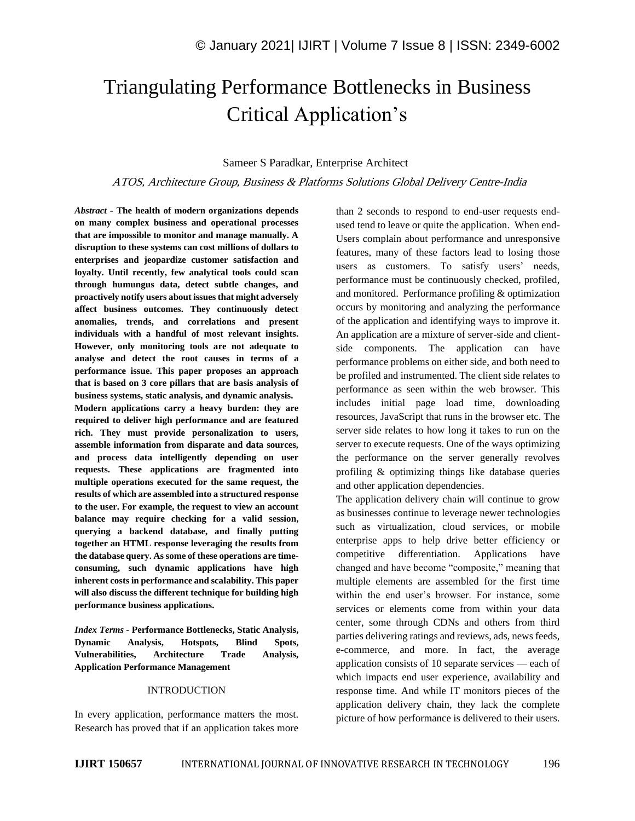# Triangulating Performance Bottlenecks in Business Critical Application's

# Sameer S Paradkar, Enterprise Architect

ATOS, Architecture Group, Business & Platforms Solutions Global Delivery Centre-India

*Abstract -* **The health of modern organizations depends on many complex business and operational processes that are impossible to monitor and manage manually. A disruption to these systems can cost millions of dollars to enterprises and jeopardize customer satisfaction and loyalty. Until recently, few analytical tools could scan through humungus data, detect subtle changes, and proactively notify users about issues that might adversely affect business outcomes. They continuously detect anomalies, trends, and correlations and present individuals with a handful of most relevant insights. However, only monitoring tools are not adequate to analyse and detect the root causes in terms of a performance issue. This paper proposes an approach that is based on 3 core pillars that are basis analysis of business systems, static analysis, and dynamic analysis.**

**Modern applications carry a heavy burden: they are required to deliver high performance and are featured rich. They must provide personalization to users, assemble information from disparate and data sources, and process data intelligently depending on user requests. These applications are fragmented into multiple operations executed for the same request, the results of which are assembled into a structured response to the user. For example, the request to view an account balance may require checking for a valid session, querying a backend database, and finally putting together an HTML response leveraging the results from the database query. As some of these operations are timeconsuming, such dynamic applications have high inherent costs in performance and scalability. This paper will also discuss the different technique for building high performance business applications.**

*Index Terms -* **Performance Bottlenecks, Static Analysis, Dynamic Analysis, Hotspots, Blind Spots, Vulnerabilities, Architecture Trade Analysis, Application Performance Management**

### INTRODUCTION

In every application, performance matters the most. Research has proved that if an application takes more than 2 seconds to respond to end-user requests endused tend to leave or quite the application. When end-Users complain about performance and unresponsive features, many of these factors lead to losing those users as customers. To satisfy users' needs, performance must be continuously checked, profiled, and monitored. Performance profiling & optimization occurs by monitoring and analyzing the performance of the application and identifying ways to improve it. An application are a mixture of server-side and clientside components. The application can have performance problems on either side, and both need to be profiled and instrumented. The client side relates to performance as seen within the web browser. This includes initial page load time, downloading resources, JavaScript that runs in the browser etc. The server side relates to how long it takes to run on the server to execute requests. One of the ways optimizing the performance on the server generally revolves profiling & optimizing things like database queries and other application dependencies.

The application delivery chain will continue to grow as businesses continue to leverage newer technologies such as virtualization, cloud services, or mobile enterprise apps to help drive better efficiency or competitive differentiation. Applications have changed and have become "composite," meaning that multiple elements are assembled for the first time within the end user's browser. For instance, some services or elements come from within your data center, some through CDNs and others from third parties delivering ratings and reviews, ads, news feeds, e-commerce, and more. In fact, the average application consists of 10 separate services — each of which impacts end user experience, availability and response time. And while IT monitors pieces of the application delivery chain, they lack the complete picture of how performance is delivered to their users.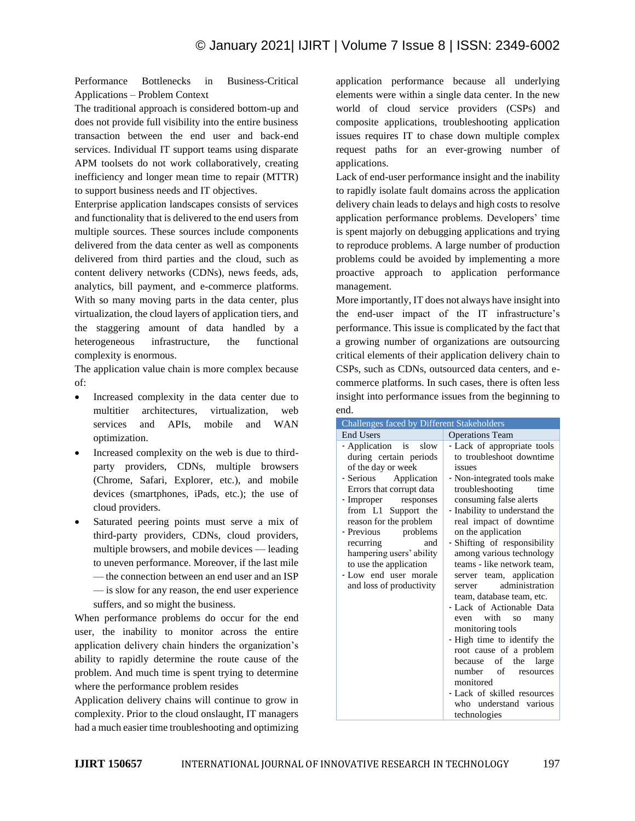Performance Bottlenecks in Business-Critical Applications – Problem Context

The traditional approach is considered bottom-up and does not provide full visibility into the entire business transaction between the end user and back-end services. Individual IT support teams using disparate APM toolsets do not work collaboratively, creating inefficiency and longer mean time to repair (MTTR) to support business needs and IT objectives.

Enterprise application landscapes consists of services and functionality that is delivered to the end users from multiple sources. These sources include components delivered from the data center as well as components delivered from third parties and the cloud, such as content delivery networks (CDNs), news feeds, ads, analytics, bill payment, and e-commerce platforms. With so many moving parts in the data center, plus virtualization, the cloud layers of application tiers, and the staggering amount of data handled by a heterogeneous infrastructure, the functional complexity is enormous.

The application value chain is more complex because of:

- Increased complexity in the data center due to multitier architectures, virtualization, web services and APIs, mobile and WAN optimization.
- Increased complexity on the web is due to thirdparty providers, CDNs, multiple browsers (Chrome, Safari, Explorer, etc.), and mobile devices (smartphones, iPads, etc.); the use of cloud providers.
- Saturated peering points must serve a mix of third-party providers, CDNs, cloud providers, multiple browsers, and mobile devices — leading to uneven performance. Moreover, if the last mile — the connection between an end user and an ISP — is slow for any reason, the end user experience suffers, and so might the business.

When performance problems do occur for the end user, the inability to monitor across the entire application delivery chain hinders the organization's ability to rapidly determine the route cause of the problem. And much time is spent trying to determine where the performance problem resides

Application delivery chains will continue to grow in complexity. Prior to the cloud onslaught, IT managers had a much easier time troubleshooting and optimizing

application performance because all underlying elements were within a single data center. In the new world of cloud service providers (CSPs) and composite applications, troubleshooting application issues requires IT to chase down multiple complex request paths for an ever-growing number of applications.

Lack of end-user performance insight and the inability to rapidly isolate fault domains across the application delivery chain leads to delays and high costs to resolve application performance problems. Developers' time is spent majorly on debugging applications and trying to reproduce problems. A large number of production problems could be avoided by implementing a more proactive approach to application performance management.

More importantly, IT does not always have insight into the end-user impact of the IT infrastructure's performance. This issue is complicated by the fact that a growing number of organizations are outsourcing critical elements of their application delivery chain to CSPs, such as CDNs, outsourced data centers, and ecommerce platforms. In such cases, there is often less insight into performance issues from the beginning to end.

| Challenges faced by Different Stakeholders                                                                                                                                                                                                                                                                                                                   |                                                                                                                                                                                                                                                                                                                                                                                                                                                                                                                                                                                                                                                                                                         |  |  |  |
|--------------------------------------------------------------------------------------------------------------------------------------------------------------------------------------------------------------------------------------------------------------------------------------------------------------------------------------------------------------|---------------------------------------------------------------------------------------------------------------------------------------------------------------------------------------------------------------------------------------------------------------------------------------------------------------------------------------------------------------------------------------------------------------------------------------------------------------------------------------------------------------------------------------------------------------------------------------------------------------------------------------------------------------------------------------------------------|--|--|--|
| <b>End Users</b>                                                                                                                                                                                                                                                                                                                                             | <b>Operations Team</b>                                                                                                                                                                                                                                                                                                                                                                                                                                                                                                                                                                                                                                                                                  |  |  |  |
| - Application is slow<br>during certain periods<br>of the day or week<br>- Serious Application<br>Errors that corrupt data<br>- Improper responses<br>from L1 Support the<br>reason for the problem<br>- Previous<br>problems<br>recurring<br>and<br>hampering users' ability<br>to use the application<br>- Low end user morale<br>and loss of productivity | - Lack of appropriate tools<br>to troubleshoot downtime<br>issues<br>- Non-integrated tools make<br>troubleshooting<br>time<br>consuming false alerts<br>- Inability to understand the<br>real impact of downtime<br>on the application<br>- Shifting of responsibility<br>among various technology<br>teams - like network team,<br>server team, application<br>administration<br>server<br>team, database team, etc.<br>- Lack of Actionable Data<br>even with<br>so many<br>monitoring tools<br>- High time to identify the<br>root cause of a problem<br>because of<br>the<br>large<br>number of<br>resources<br>monitored<br>- Lack of skilled resources<br>who understand various<br>technologies |  |  |  |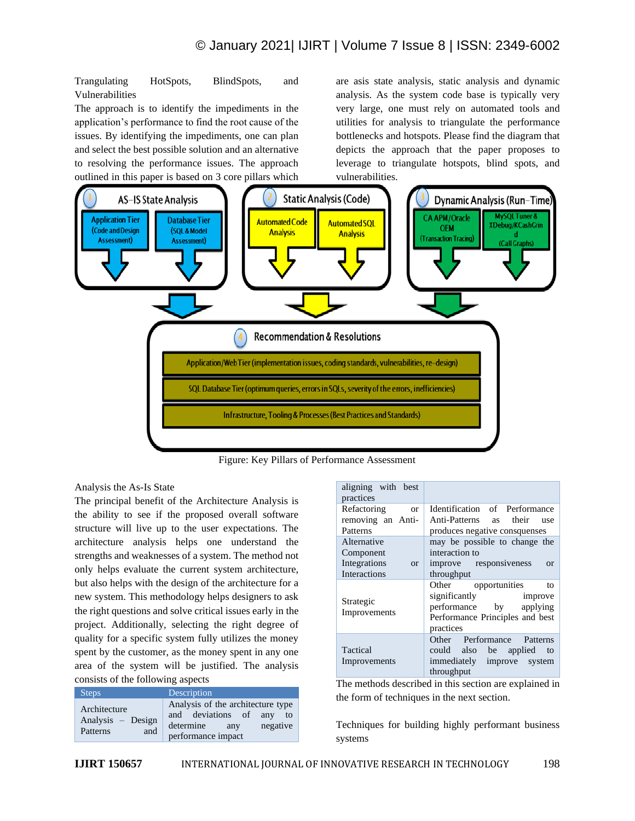Trangulating HotSpots, BlindSpots, and Vulnerabilities

The approach is to identify the impediments in the application's performance to find the root cause of the issues. By identifying the impediments, one can plan and select the best possible solution and an alternative to resolving the performance issues. The approach outlined in this paper is based on 3 core pillars which

are asis state analysis, static analysis and dynamic analysis. As the system code base is typically very very large, one must rely on automated tools and utilities for analysis to triangulate the performance bottlenecks and hotspots. Please find the diagram that depicts the approach that the paper proposes to leverage to triangulate hotspots, blind spots, and vulnerabilities.



Figure: Key Pillars of Performance Assessment

Analysis the As-Is State

The principal benefit of the Architecture Analysis is the ability to see if the proposed overall software structure will live up to the user expectations. The architecture analysis helps one understand the strengths and weaknesses of a system. The method not only helps evaluate the current system architecture, but also helps with the design of the architecture for a new system. This methodology helps designers to ask the right questions and solve critical issues early in the project. Additionally, selecting the right degree of quality for a specific system fully utilizes the money spent by the customer, as the money spent in any one area of the system will be justified. The analysis consists of the following aspects

| <b>Steps</b>                                         | Description                                                                                                            |
|------------------------------------------------------|------------------------------------------------------------------------------------------------------------------------|
| Architecture<br>Analysis – Design<br>Patterns<br>and | Analysis of the architecture type<br>and deviations of any<br>to<br>negative<br>determine<br>any<br>performance impact |

| aligning with best<br>practices |                                                                                                                                  |  |
|---------------------------------|----------------------------------------------------------------------------------------------------------------------------------|--|
| Refactoring<br><b>or</b>        | Identification of Performance                                                                                                    |  |
| removing an Anti-               | Anti-Patterns as their<br>use                                                                                                    |  |
| Patterns                        | produces negative consquenses                                                                                                    |  |
| Alternative                     | may be possible to change the                                                                                                    |  |
| Component                       | interaction to                                                                                                                   |  |
| Integrations<br>$\alpha$        | improve responsiveness<br>$\alpha$                                                                                               |  |
| Interactions                    | throughput                                                                                                                       |  |
| Strategic<br>Improvements       | Other opportunities<br>to<br>significantly<br>improve<br>performance by applying<br>Performance Principles and best<br>practices |  |
| Tactical<br>Improvements        | Other Performance<br>Patterns<br>could also be applied<br>to<br>immediately improve system<br>throughput                         |  |

The methods described in this section are explained in the form of techniques in the next section.

Techniques for building highly performant business systems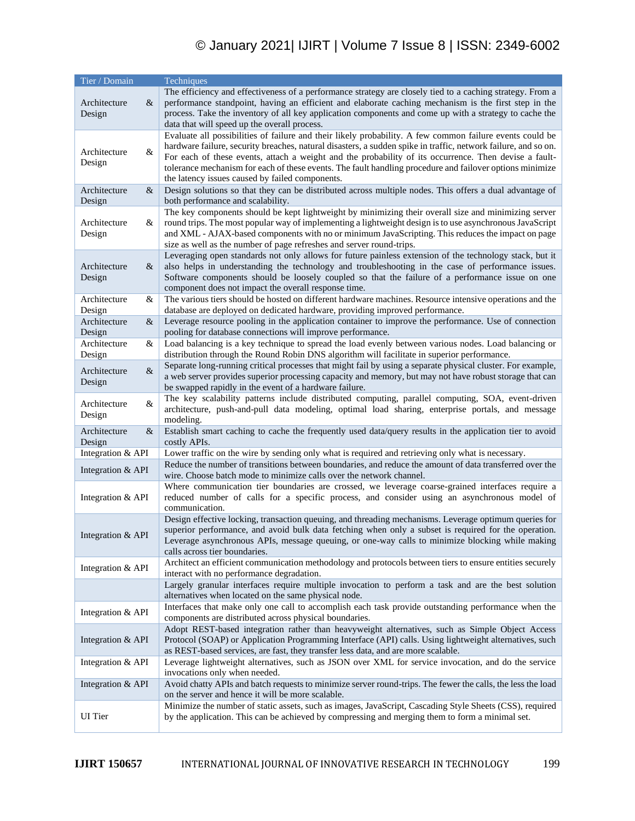# © January 2021| IJIRT | Volume 7 Issue 8 | ISSN: 2349-6002

| Tier / Domain                  | Techniques                                                                                                                                                                                                                                                                                                                                                                                                                                                                                         |  |
|--------------------------------|----------------------------------------------------------------------------------------------------------------------------------------------------------------------------------------------------------------------------------------------------------------------------------------------------------------------------------------------------------------------------------------------------------------------------------------------------------------------------------------------------|--|
| Architecture<br>$\&$<br>Design | The efficiency and effectiveness of a performance strategy are closely tied to a caching strategy. From a<br>performance standpoint, having an efficient and elaborate caching mechanism is the first step in the<br>process. Take the inventory of all key application components and come up with a strategy to cache the<br>data that will speed up the overall process.                                                                                                                        |  |
| Architecture<br>&<br>Design    | Evaluate all possibilities of failure and their likely probability. A few common failure events could be<br>hardware failure, security breaches, natural disasters, a sudden spike in traffic, network failure, and so on.<br>For each of these events, attach a weight and the probability of its occurrence. Then devise a fault-<br>tolerance mechanism for each of these events. The fault handling procedure and failover options minimize<br>the latency issues caused by failed components. |  |
| Architecture<br>$\&$<br>Design | Design solutions so that they can be distributed across multiple nodes. This offers a dual advantage of<br>both performance and scalability.                                                                                                                                                                                                                                                                                                                                                       |  |
| Architecture<br>&<br>Design    | The key components should be kept lightweight by minimizing their overall size and minimizing server<br>round trips. The most popular way of implementing a lightweight design is to use asynchronous JavaScript<br>and XML - AJAX-based components with no or minimum JavaScripting. This reduces the impact on page<br>size as well as the number of page refreshes and server round-trips.                                                                                                      |  |
| Architecture<br>&<br>Design    | Leveraging open standards not only allows for future painless extension of the technology stack, but it<br>also helps in understanding the technology and troubleshooting in the case of performance issues.<br>Software components should be loosely coupled so that the failure of a performance issue on one<br>component does not impact the overall response time.                                                                                                                            |  |
| Architecture<br>&<br>Design    | The various tiers should be hosted on different hardware machines. Resource intensive operations and the<br>database are deployed on dedicated hardware, providing improved performance.                                                                                                                                                                                                                                                                                                           |  |
| $\&$<br>Architecture<br>Design | Leverage resource pooling in the application container to improve the performance. Use of connection<br>pooling for database connections will improve performance.                                                                                                                                                                                                                                                                                                                                 |  |
| Architecture<br>&<br>Design    | Load balancing is a key technique to spread the load evenly between various nodes. Load balancing or<br>distribution through the Round Robin DNS algorithm will facilitate in superior performance.                                                                                                                                                                                                                                                                                                |  |
| $\&$<br>Architecture<br>Design | Separate long-running critical processes that might fail by using a separate physical cluster. For example,<br>a web server provides superior processing capacity and memory, but may not have robust storage that can<br>be swapped rapidly in the event of a hardware failure.                                                                                                                                                                                                                   |  |
| &<br>Architecture<br>Design    | The key scalability patterns include distributed computing, parallel computing, SOA, event-driven<br>architecture, push-and-pull data modeling, optimal load sharing, enterprise portals, and message<br>modeling.                                                                                                                                                                                                                                                                                 |  |
| Architecture<br>$\&$<br>Design | Establish smart caching to cache the frequently used data/query results in the application tier to avoid<br>costly APIs.                                                                                                                                                                                                                                                                                                                                                                           |  |
| Integration & API              | Lower traffic on the wire by sending only what is required and retrieving only what is necessary.                                                                                                                                                                                                                                                                                                                                                                                                  |  |
| Integration & API              | Reduce the number of transitions between boundaries, and reduce the amount of data transferred over the<br>wire. Choose batch mode to minimize calls over the network channel.                                                                                                                                                                                                                                                                                                                     |  |
| Integration & API              | Where communication tier boundaries are crossed, we leverage coarse-grained interfaces require a<br>reduced number of calls for a specific process, and consider using an asynchronous model of<br>communication.                                                                                                                                                                                                                                                                                  |  |
| Integration & API              | Design effective locking, transaction queuing, and threading mechanisms. Leverage optimum queries for<br>superior performance, and avoid bulk data fetching when only a subset is required for the operation.<br>Leverage asynchronous APIs, message queuing, or one-way calls to minimize blocking while making<br>calls across tier boundaries.                                                                                                                                                  |  |
| Integration & API              | Architect an efficient communication methodology and protocols between tiers to ensure entities securely<br>interact with no performance degradation.                                                                                                                                                                                                                                                                                                                                              |  |
|                                | Largely granular interfaces require multiple invocation to perform a task and are the best solution<br>alternatives when located on the same physical node.                                                                                                                                                                                                                                                                                                                                        |  |
| Integration & API              | Interfaces that make only one call to accomplish each task provide outstanding performance when the<br>components are distributed across physical boundaries.                                                                                                                                                                                                                                                                                                                                      |  |
| Integration & API              | Adopt REST-based integration rather than heavyweight alternatives, such as Simple Object Access<br>Protocol (SOAP) or Application Programming Interface (API) calls. Using lightweight alternatives, such<br>as REST-based services, are fast, they transfer less data, and are more scalable.                                                                                                                                                                                                     |  |
| Integration & API              | Leverage lightweight alternatives, such as JSON over XML for service invocation, and do the service<br>invocations only when needed.                                                                                                                                                                                                                                                                                                                                                               |  |
| Integration & API              | Avoid chatty APIs and batch requests to minimize server round-trips. The fewer the calls, the less the load<br>on the server and hence it will be more scalable.                                                                                                                                                                                                                                                                                                                                   |  |
| <b>UI</b> Tier                 | Minimize the number of static assets, such as images, JavaScript, Cascading Style Sheets (CSS), required<br>by the application. This can be achieved by compressing and merging them to form a minimal set.                                                                                                                                                                                                                                                                                        |  |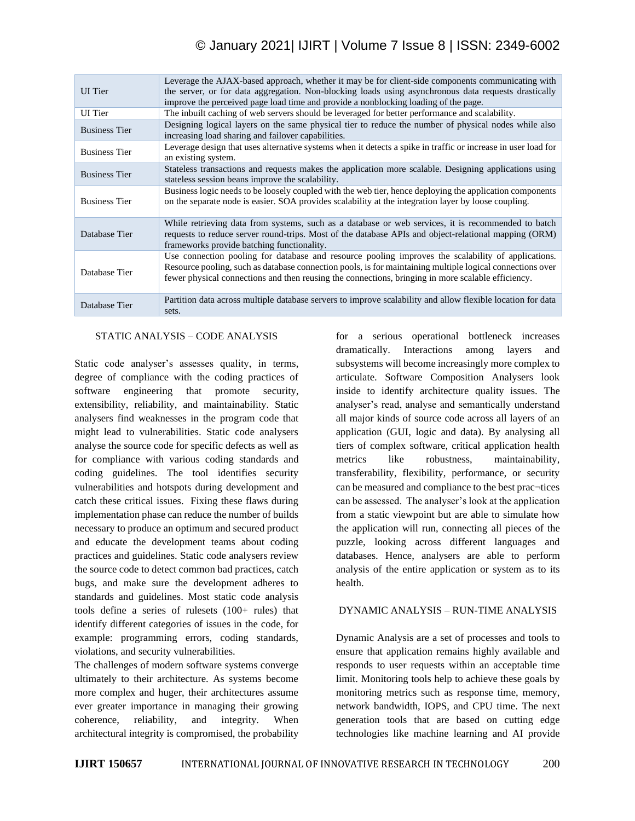# © January 2021| IJIRT | Volume 7 Issue 8 | ISSN: 2349-6002

| <b>UI</b> Tier       | Leverage the AJAX-based approach, whether it may be for client-side components communicating with<br>the server, or for data aggregation. Non-blocking loads using asynchronous data requests drastically<br>improve the perceived page load time and provide a nonblocking loading of the page.                      |  |  |
|----------------------|-----------------------------------------------------------------------------------------------------------------------------------------------------------------------------------------------------------------------------------------------------------------------------------------------------------------------|--|--|
| <b>UI</b> Tier       | The inbuilt caching of web servers should be leveraged for better performance and scalability.                                                                                                                                                                                                                        |  |  |
| <b>Business Tier</b> | Designing logical layers on the same physical tier to reduce the number of physical nodes while also<br>increasing load sharing and failover capabilities.                                                                                                                                                            |  |  |
| <b>Business Tier</b> | Leverage design that uses alternative systems when it detects a spike in traffic or increase in user load for<br>an existing system.                                                                                                                                                                                  |  |  |
| <b>Business Tier</b> | Stateless transactions and requests makes the application more scalable. Designing applications using<br>stateless session beans improve the scalability.                                                                                                                                                             |  |  |
| <b>Business Tier</b> | Business logic needs to be loosely coupled with the web tier, hence deploying the application components<br>on the separate node is easier. SOA provides scalability at the integration layer by loose coupling.                                                                                                      |  |  |
| Database Tier        | While retrieving data from systems, such as a database or web services, it is recommended to batch<br>requests to reduce server round-trips. Most of the database APIs and object-relational mapping (ORM)<br>frameworks provide batching functionality.                                                              |  |  |
| Database Tier        | Use connection pooling for database and resource pooling improves the scalability of applications.<br>Resource pooling, such as database connection pools, is for maintaining multiple logical connections over<br>fewer physical connections and then reusing the connections, bringing in more scalable efficiency. |  |  |
| Database Tier        | Partition data across multiple database servers to improve scalability and allow flexible location for data<br>sets.                                                                                                                                                                                                  |  |  |

# STATIC ANALYSIS – CODE ANALYSIS

Static code analyser's assesses quality, in terms, degree of compliance with the coding practices of software engineering that promote security, extensibility, reliability, and maintainability. Static analysers find weaknesses in the program code that might lead to vulnerabilities. Static code analysers analyse the source code for specific defects as well as for compliance with various coding standards and coding guidelines. The tool identifies security vulnerabilities and hotspots during development and catch these critical issues. Fixing these flaws during implementation phase can reduce the number of builds necessary to produce an optimum and secured product and educate the development teams about coding practices and guidelines. Static code analysers review the source code to detect common bad practices, catch bugs, and make sure the development adheres to standards and guidelines. Most static code analysis tools define a series of rulesets  $(100+$  rules) that identify different categories of issues in the code, for example: programming errors, coding standards, violations, and security vulnerabilities.

The challenges of modern software systems converge ultimately to their architecture. As systems become more complex and huger, their architectures assume ever greater importance in managing their growing coherence, reliability, and integrity. When architectural integrity is compromised, the probability for a serious operational bottleneck increases dramatically. Interactions among layers and subsystems will become increasingly more complex to articulate. Software Composition Analysers look inside to identify architecture quality issues. The analyser's read, analyse and semantically understand all major kinds of source code across all layers of an application (GUI, logic and data). By analysing all tiers of complex software, critical application health metrics like robustness, maintainability, transferability, flexibility, performance, or security can be measured and compliance to the best prac¬tices can be assessed. The analyser's look at the application from a static viewpoint but are able to simulate how the application will run, connecting all pieces of the puzzle, looking across different languages and databases. Hence, analysers are able to perform analysis of the entire application or system as to its health.

# DYNAMIC ANALYSIS – RUN-TIME ANALYSIS

Dynamic Analysis are a set of processes and tools to ensure that application remains highly available and responds to user requests within an acceptable time limit. Monitoring tools help to achieve these goals by monitoring metrics such as response time, memory, network bandwidth, IOPS, and CPU time. The next generation tools that are based on cutting edge technologies like machine learning and AI provide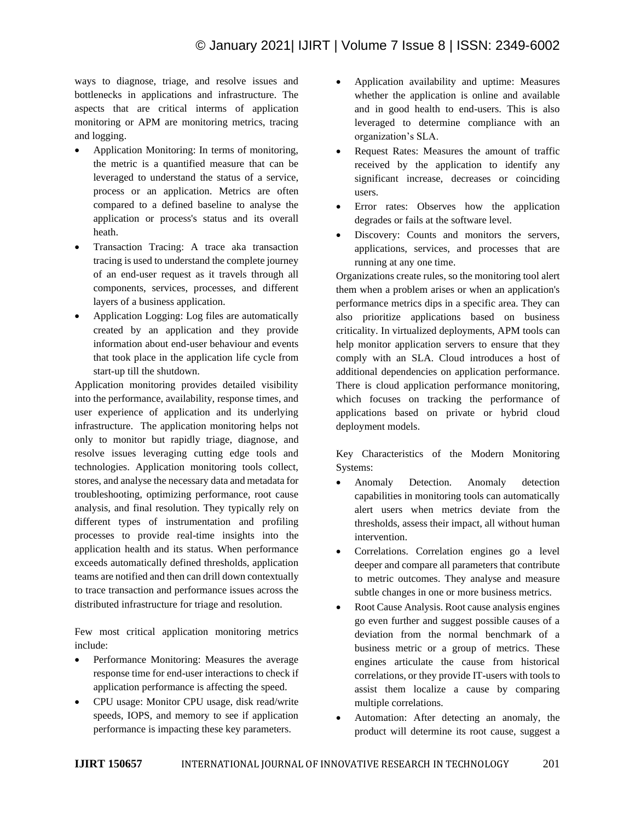ways to diagnose, triage, and resolve issues and bottlenecks in applications and infrastructure. The aspects that are critical interms of application monitoring or APM are monitoring metrics, tracing and logging.

- Application Monitoring: In terms of monitoring, the metric is a quantified measure that can be leveraged to understand the status of a service, process or an application. Metrics are often compared to a defined baseline to analyse the application or process's status and its overall heath.
- Transaction Tracing: A trace aka transaction tracing is used to understand the complete journey of an end-user request as it travels through all components, services, processes, and different layers of a business application.
- Application Logging: Log files are automatically created by an application and they provide information about end-user behaviour and events that took place in the application life cycle from start-up till the shutdown.

Application monitoring provides detailed visibility into the performance, availability, response times, and user experience of application and its underlying infrastructure. The application monitoring helps not only to monitor but rapidly triage, diagnose, and resolve issues leveraging cutting edge tools and technologies. Application monitoring tools collect, stores, and analyse the necessary data and metadata for troubleshooting, optimizing performance, root cause analysis, and final resolution. They typically rely on different types of instrumentation and profiling processes to provide real-time insights into the application health and its status. When performance exceeds automatically defined thresholds, application teams are notified and then can drill down contextually to trace transaction and performance issues across the distributed infrastructure for triage and resolution.

Few most critical application monitoring metrics include:

- Performance Monitoring: Measures the average response time for end-user interactions to check if application performance is affecting the speed.
- CPU usage: Monitor CPU usage, disk read/write speeds, IOPS, and memory to see if application performance is impacting these key parameters.
- Application availability and uptime: Measures whether the application is online and available and in good health to end-users. This is also leveraged to determine compliance with an organization's SLA.
- Request Rates: Measures the amount of traffic received by the application to identify any significant increase, decreases or coinciding users.
- Error rates: Observes how the application degrades or fails at the software level.
- Discovery: Counts and monitors the servers, applications, services, and processes that are running at any one time.

Organizations create rules, so the monitoring tool alert them when a problem arises or when an application's performance metrics dips in a specific area. They can also prioritize applications based on business criticality. In virtualized deployments, APM tools can help monitor application servers to ensure that they comply with an SLA. Cloud introduces a host of additional dependencies on application performance. There is cloud application performance monitoring, which focuses on tracking the performance of applications based on private or hybrid cloud deployment models.

Key Characteristics of the Modern Monitoring Systems:

- Anomaly Detection. Anomaly detection capabilities in monitoring tools can automatically alert users when metrics deviate from the thresholds, assess their impact, all without human intervention.
- Correlations. Correlation engines go a level deeper and compare all parameters that contribute to metric outcomes. They analyse and measure subtle changes in one or more business metrics.
- Root Cause Analysis. Root cause analysis engines go even further and suggest possible causes of a deviation from the normal benchmark of a business metric or a group of metrics. These engines articulate the cause from historical correlations, or they provide IT-users with tools to assist them localize a cause by comparing multiple correlations.
- Automation: After detecting an anomaly, the product will determine its root cause, suggest a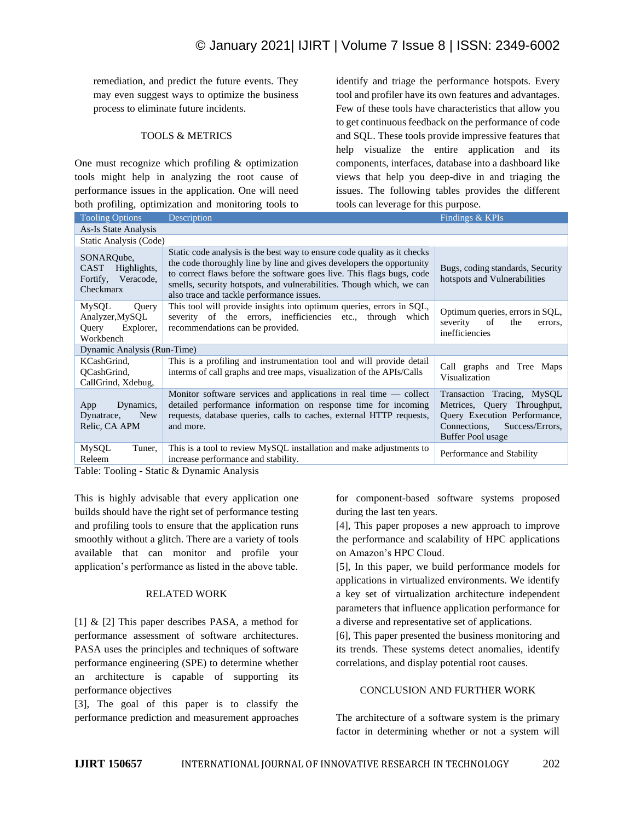remediation, and predict the future events. They may even suggest ways to optimize the business process to eliminate future incidents.

# TOOLS & METRICS

One must recognize which profiling & optimization tools might help in analyzing the root cause of performance issues in the application. One will need both profiling, optimization and monitoring tools to identify and triage the performance hotspots. Every tool and profiler have its own features and advantages. Few of these tools have characteristics that allow you to get continuous feedback on the performance of code and SQL. These tools provide impressive features that help visualize the entire application and its components, interfaces, database into a dashboard like views that help you deep-dive in and triaging the issues. The following tables provides the different tools can leverage for this purpose.

| <b>Tooling Options</b>                                               | Description                                                                                                                                                                                                                                                                                                                                     | Findings & KPIs                                                                                                                                   |  |  |
|----------------------------------------------------------------------|-------------------------------------------------------------------------------------------------------------------------------------------------------------------------------------------------------------------------------------------------------------------------------------------------------------------------------------------------|---------------------------------------------------------------------------------------------------------------------------------------------------|--|--|
| As-Is State Analysis                                                 |                                                                                                                                                                                                                                                                                                                                                 |                                                                                                                                                   |  |  |
| Static Analysis (Code)                                               |                                                                                                                                                                                                                                                                                                                                                 |                                                                                                                                                   |  |  |
| SONAROube.<br>CAST<br>Highlights,<br>Fortify, Veracode,<br>Checkmarx | Static code analysis is the best way to ensure code quality as it checks<br>the code thoroughly line by line and gives developers the opportunity<br>to correct flaws before the software goes live. This flags bugs, code<br>smells, security hotspots, and vulnerabilities. Though which, we can<br>also trace and tackle performance issues. | Bugs, coding standards, Security<br>hotspots and Vulnerabilities                                                                                  |  |  |
| MySQL<br>Query<br>Analyzer, MySQL<br>Explorer,<br>Query<br>Workbench | This tool will provide insights into optimum queries, errors in SQL,<br>severity of the errors, inefficiencies etc., through which<br>recommendations can be provided.                                                                                                                                                                          | Optimum queries, errors in SQL,<br>severity of<br>the<br>errors,<br>inefficiencies                                                                |  |  |
| Dynamic Analysis (Run-Time)                                          |                                                                                                                                                                                                                                                                                                                                                 |                                                                                                                                                   |  |  |
| KCashGrind,<br>QCashGrind,<br>CallGrind, Xdebug,                     | This is a profiling and instrumentation tool and will provide detail<br>interms of call graphs and tree maps, visualization of the APIs/Calls                                                                                                                                                                                                   | Call graphs and Tree Maps<br>Visualization                                                                                                        |  |  |
| Dynamics,<br>App<br>Dynatrace,<br><b>New</b><br>Relic, CA APM        | Monitor software services and applications in real time $-$ collect<br>detailed performance information on response time for incoming<br>requests, database queries, calls to caches, external HTTP requests,<br>and more.                                                                                                                      | Transaction Tracing, MySQL<br>Metrices, Query Throughput,<br>Query Execution Performance,<br>Connections,<br>Success/Errors,<br>Buffer Pool usage |  |  |
| MySQL<br>Tuner,<br>Releem                                            | This is a tool to review MySQL installation and make adjustments to<br>increase performance and stability.<br>$\mathbf{T}$ and $\mathbf{T}$ and $\mathbf{T}$ and $\mathbf{C}$ and $\mathbf{C}$ and $\mathbf{D}$ and $\mathbf{D}$ and $\mathbf{A}$ and $\mathbf{A}$                                                                              | Performance and Stability                                                                                                                         |  |  |

Table: Tooling - Static & Dynamic Analysis

This is highly advisable that every application one builds should have the right set of performance testing and profiling tools to ensure that the application runs smoothly without a glitch. There are a variety of tools available that can monitor and profile your application's performance as listed in the above table.

## RELATED WORK

[1] & [2] This paper describes PASA, a method for performance assessment of software architectures. PASA uses the principles and techniques of software performance engineering (SPE) to determine whether an architecture is capable of supporting its performance objectives

[3], The goal of this paper is to classify the performance prediction and measurement approaches for component-based software systems proposed during the last ten years.

[4], This paper proposes a new approach to improve the performance and scalability of HPC applications on Amazon's HPC Cloud.

[5], In this paper, we build performance models for applications in virtualized environments. We identify a key set of virtualization architecture independent parameters that influence application performance for a diverse and representative set of applications.

[6], This paper presented the business monitoring and its trends. These systems detect anomalies, identify correlations, and display potential root causes.

# CONCLUSION AND FURTHER WORK

The architecture of a software system is the primary factor in determining whether or not a system will